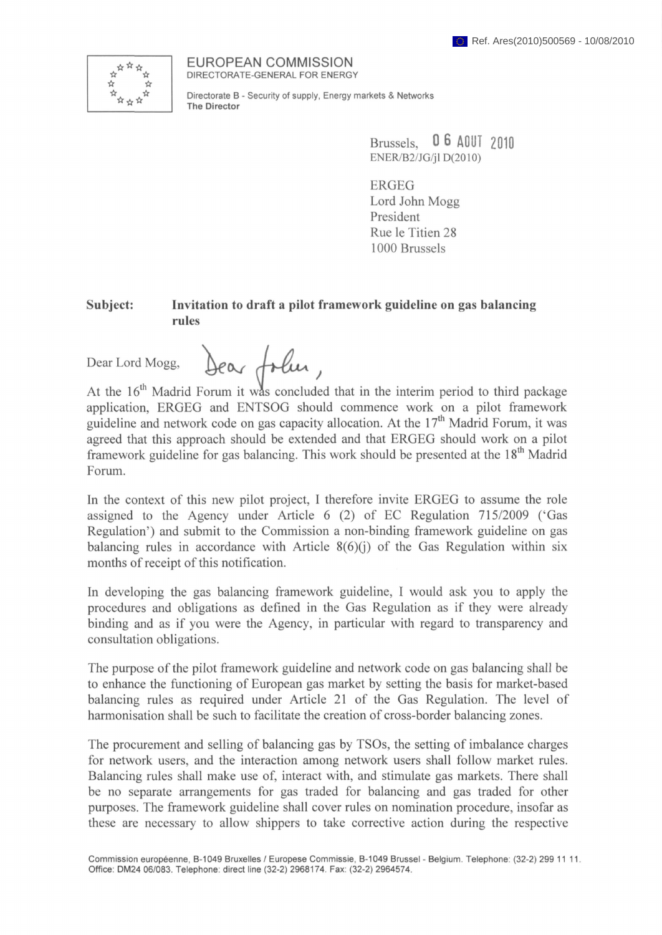

EUROPEAN COMMISSION DIRECTORATE-GENERAL FOR ENERGY

Directorate В - Security of supply, Energy markets & Networks **The Director**

> Brussels, **0 6 AGUÍ 2010** ENER/B2/JG/jl D(2010)

ERGEG Lord John Mogg President Rue le Titien 28 1000 Brussels

## **Subject: Invitation to draft a pilot framework guideline on gas balancing rules**

Dear Lord Mogg, Dear folier,

At the  $16<sup>th</sup>$  Madrid Forum it was concluded that in the interim period to third package application, ERGEG and ENTSOG should commence work on a pilot framework guideline and network code on gas capacity allocation. At the  $17<sup>th</sup>$  Madrid Forum, it was agreed that this approach should be extended and that ERGEG should work on a pilot framework guideline for gas balancing. This work should be presented at the  $18<sup>th</sup>$  Madrid Forum.

In the context of this new pilot project, I therefore invite ERGEG to assume the role assigned to the Agency under Article 6 (2) of EC Regulation 715/2009 ('Gas Regulation') and submit to the Commission a non-binding framework guideline on gas balancing rules in accordance with Article  $8(6)(j)$  of the Gas Regulation within six months of receipt of this notification.

In developing the gas balancing framework guideline, I would ask you to apply the procedures and obligations as defined in the Gas Regulation as if they were already binding and as if you were the Agency, in particular with regard to transparency and consultation obligations.

The purpose of the pilot framework guideline and network code on gas balancing shall be to enhance the functioning of European gas market by setting the basis for market-based balancing rules as required under Article 21 of the Gas Regulation. The level of harmonisation shall be such to facilitate the creation of cross-border balancing zones.

The procurement and selling of balancing gas by TSOs, the setting of imbalance charges for network users, and the interaction among network users shall follow market rules. Balancing rules shall make use of, interact with, and stimulate gas markets. There shall be no separate arrangements for gas traded for balancing and gas traded for other purposes. The framework guideline shall cover rules on nomination procedure, insofar as these are necessary to allow shippers to take corrective action during the respective